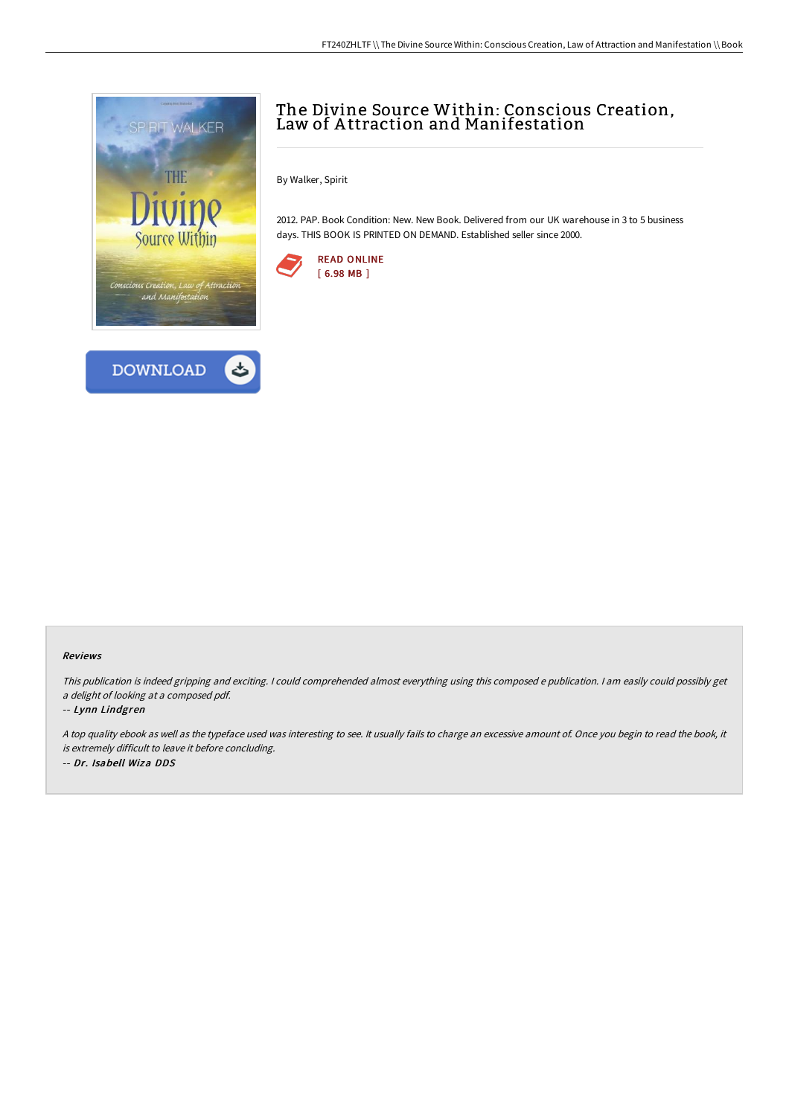



# The Divine Source Within: Conscious Creation, Law of A ttraction and Manifestation

By Walker, Spirit

2012. PAP. Book Condition: New. New Book. Delivered from our UK warehouse in 3 to 5 business days. THIS BOOK IS PRINTED ON DEMAND. Established seller since 2000.



#### Reviews

This publication is indeed gripping and exciting. I could comprehended almost everything using this composed <sup>e</sup> publication. I am easily could possibly get <sup>a</sup> delight of looking at <sup>a</sup> composed pdf.

#### -- Lynn Lindgren

<sup>A</sup> top quality ebook as well as the typeface used was interesting to see. It usually fails to charge an excessive amount of. Once you begin to read the book, it is extremely difficult to leave it before concluding.

-- Dr. Isabell Wiza DDS